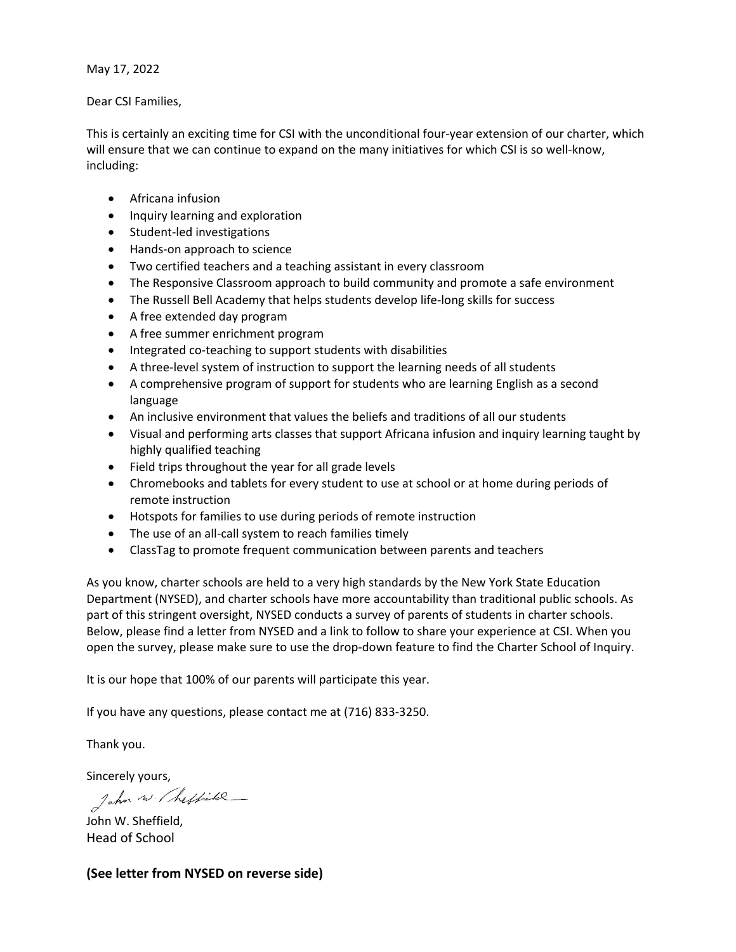May 17, 2022

Dear CSI Families,

This is certainly an exciting time for CSI with the unconditional four‐year extension of our charter, which will ensure that we can continue to expand on the many initiatives for which CSI is so well-know, including:

- Africana infusion
- Inquiry learning and exploration
- Student-led investigations
- Hands-on approach to science
- Two certified teachers and a teaching assistant in every classroom
- The Responsive Classroom approach to build community and promote a safe environment
- The Russell Bell Academy that helps students develop life‐long skills for success
- A free extended day program
- A free summer enrichment program
- Integrated co-teaching to support students with disabilities
- A three-level system of instruction to support the learning needs of all students
- A comprehensive program of support for students who are learning English as a second language
- An inclusive environment that values the beliefs and traditions of all our students
- Visual and performing arts classes that support Africana infusion and inquiry learning taught by highly qualified teaching
- Field trips throughout the year for all grade levels
- Chromebooks and tablets for every student to use at school or at home during periods of remote instruction
- Hotspots for families to use during periods of remote instruction
- The use of an all-call system to reach families timely
- ClassTag to promote frequent communication between parents and teachers

As you know, charter schools are held to a very high standards by the New York State Education Department (NYSED), and charter schools have more accountability than traditional public schools. As part of this stringent oversight, NYSED conducts a survey of parents of students in charter schools. Below, please find a letter from NYSED and a link to follow to share your experience at CSI. When you open the survey, please make sure to use the drop‐down feature to find the Charter School of Inquiry.

It is our hope that 100% of our parents will participate this year.

If you have any questions, please contact me at (716) 833‐3250.

Thank you.

Sincerely yours,<br>Jahn w. / heffile\_

John W. Sheffield, Head of School

## **(See letter from NYSED on reverse side)**